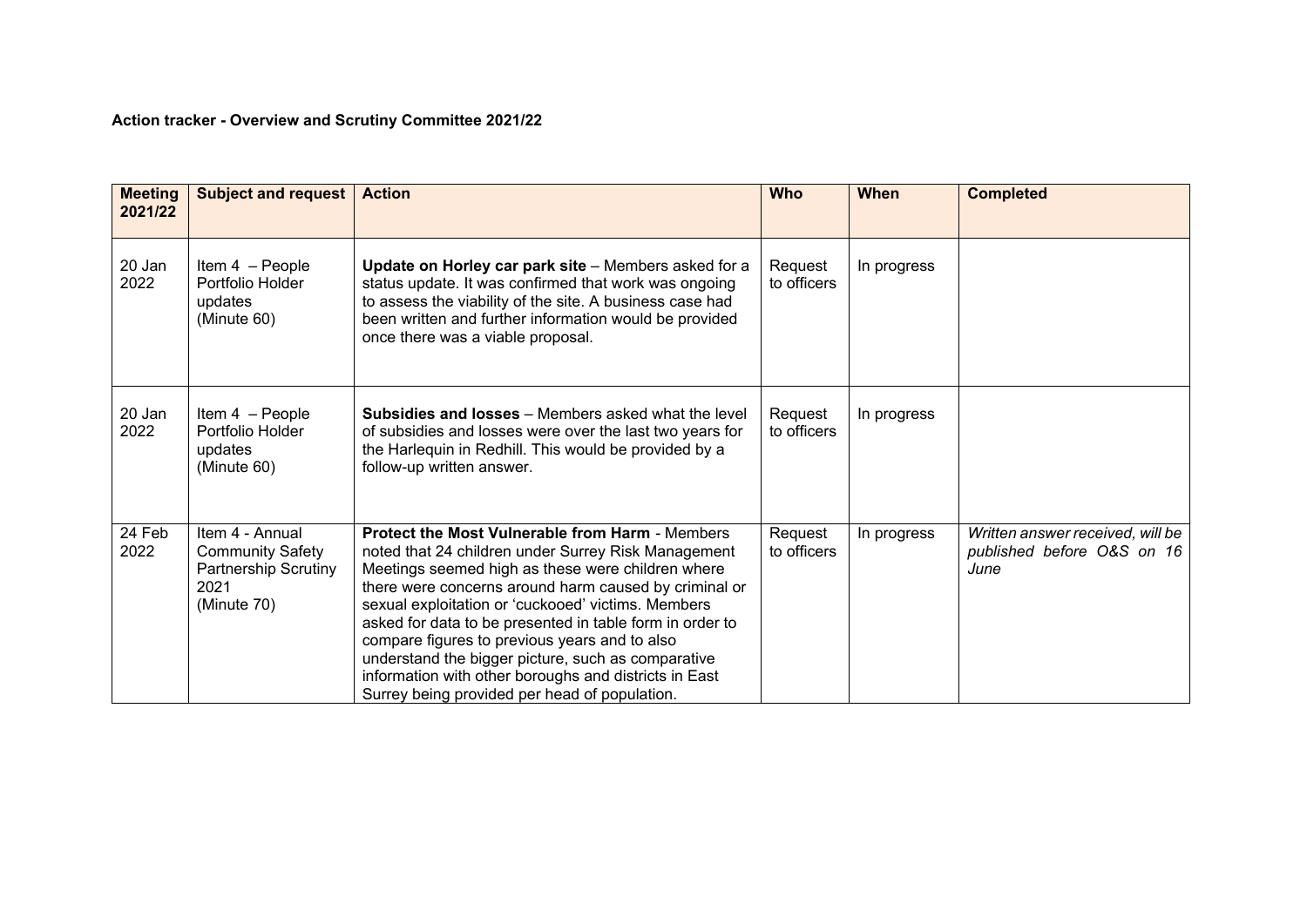## **Action tracker - Overview and Scrutiny Committee 2021/22**

| <b>Meeting</b><br>2021/22 | <b>Subject and request</b>                                                                       | <b>Action</b>                                                                                                                                                                                                                                                                                                                                                                                                                                                                                                                                                  | <b>Who</b>             | When        | <b>Completed</b>                                                       |
|---------------------------|--------------------------------------------------------------------------------------------------|----------------------------------------------------------------------------------------------------------------------------------------------------------------------------------------------------------------------------------------------------------------------------------------------------------------------------------------------------------------------------------------------------------------------------------------------------------------------------------------------------------------------------------------------------------------|------------------------|-------------|------------------------------------------------------------------------|
| 20 Jan<br>2022            | Item 4 - People<br>Portfolio Holder<br>updates<br>(Minute 60)                                    | Update on Horley car park site - Members asked for a<br>status update. It was confirmed that work was ongoing<br>to assess the viability of the site. A business case had<br>been written and further information would be provided<br>once there was a viable proposal.                                                                                                                                                                                                                                                                                       | Request<br>to officers | In progress |                                                                        |
| 20 Jan<br>2022            | Item 4 - People<br>Portfolio Holder<br>updates<br>(Minute 60)                                    | <b>Subsidies and losses</b> – Members asked what the level<br>of subsidies and losses were over the last two years for<br>the Harlequin in Redhill. This would be provided by a<br>follow-up written answer.                                                                                                                                                                                                                                                                                                                                                   | Request<br>to officers | In progress |                                                                        |
| 24 Feb<br>2022            | Item 4 - Annual<br><b>Community Safety</b><br><b>Partnership Scrutiny</b><br>2021<br>(Minute 70) | <b>Protect the Most Vulnerable from Harm - Members</b><br>noted that 24 children under Surrey Risk Management<br>Meetings seemed high as these were children where<br>there were concerns around harm caused by criminal or<br>sexual exploitation or 'cuckooed' victims. Members<br>asked for data to be presented in table form in order to<br>compare figures to previous years and to also<br>understand the bigger picture, such as comparative<br>information with other boroughs and districts in East<br>Surrey being provided per head of population. | Request<br>to officers | In progress | Written answer received, will be<br>published before O&S on 16<br>June |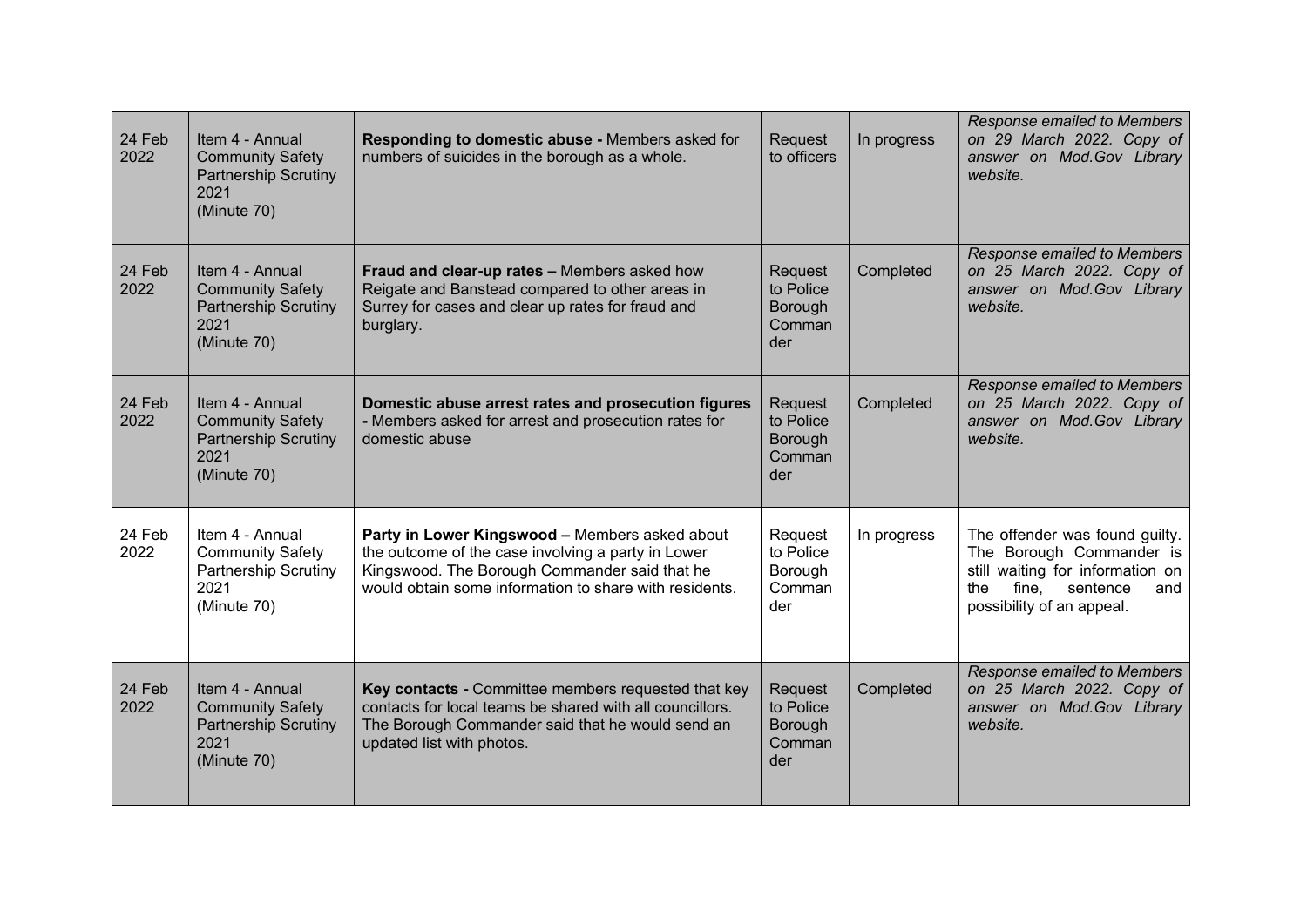| 24 Feb<br>2022 | Item 4 - Annual<br><b>Community Safety</b><br><b>Partnership Scrutiny</b><br>2021<br>(Minute 70) | Responding to domestic abuse - Members asked for<br>numbers of suicides in the borough as a whole.                                                                                                              | Request<br>to officers                           | In progress | <b>Response emailed to Members</b><br>on 29 March 2022. Copy of<br>answer on Mod.Gov Library<br>website.                                                    |
|----------------|--------------------------------------------------------------------------------------------------|-----------------------------------------------------------------------------------------------------------------------------------------------------------------------------------------------------------------|--------------------------------------------------|-------------|-------------------------------------------------------------------------------------------------------------------------------------------------------------|
| 24 Feb<br>2022 | Item 4 - Annual<br><b>Community Safety</b><br><b>Partnership Scrutiny</b><br>2021<br>(Minute 70) | Fraud and clear-up rates - Members asked how<br>Reigate and Banstead compared to other areas in<br>Surrey for cases and clear up rates for fraud and<br>burglary.                                               | Request<br>to Police<br>Borough<br>Comman<br>der | Completed   | Response emailed to Members<br>on 25 March 2022. Copy of<br>answer on Mod.Gov Library<br>website.                                                           |
| 24 Feb<br>2022 | Item 4 - Annual<br><b>Community Safety</b><br><b>Partnership Scrutiny</b><br>2021<br>(Minute 70) | Domestic abuse arrest rates and prosecution figures<br>- Members asked for arrest and prosecution rates for<br>domestic abuse                                                                                   | Request<br>to Police<br>Borough<br>Comman<br>der | Completed   | Response emailed to Members<br>on 25 March 2022. Copy of<br>answer on Mod.Gov Library<br>website.                                                           |
| 24 Feb<br>2022 | Item 4 - Annual<br><b>Community Safety</b><br><b>Partnership Scrutiny</b><br>2021<br>(Minute 70) | Party in Lower Kingswood - Members asked about<br>the outcome of the case involving a party in Lower<br>Kingswood. The Borough Commander said that he<br>would obtain some information to share with residents. | Request<br>to Police<br>Borough<br>Comman<br>der | In progress | The offender was found guilty.<br>The Borough Commander is<br>still waiting for information on<br>fine, sentence<br>the<br>and<br>possibility of an appeal. |
| 24 Feb<br>2022 | Item 4 - Annual<br><b>Community Safety</b><br><b>Partnership Scrutiny</b><br>2021<br>(Minute 70) | Key contacts - Committee members requested that key<br>contacts for local teams be shared with all councillors.<br>The Borough Commander said that he would send an<br>updated list with photos.                | Request<br>to Police<br>Borough<br>Comman<br>der | Completed   | Response emailed to Members<br>on 25 March 2022. Copy of<br>answer on Mod. Gov Library<br>website.                                                          |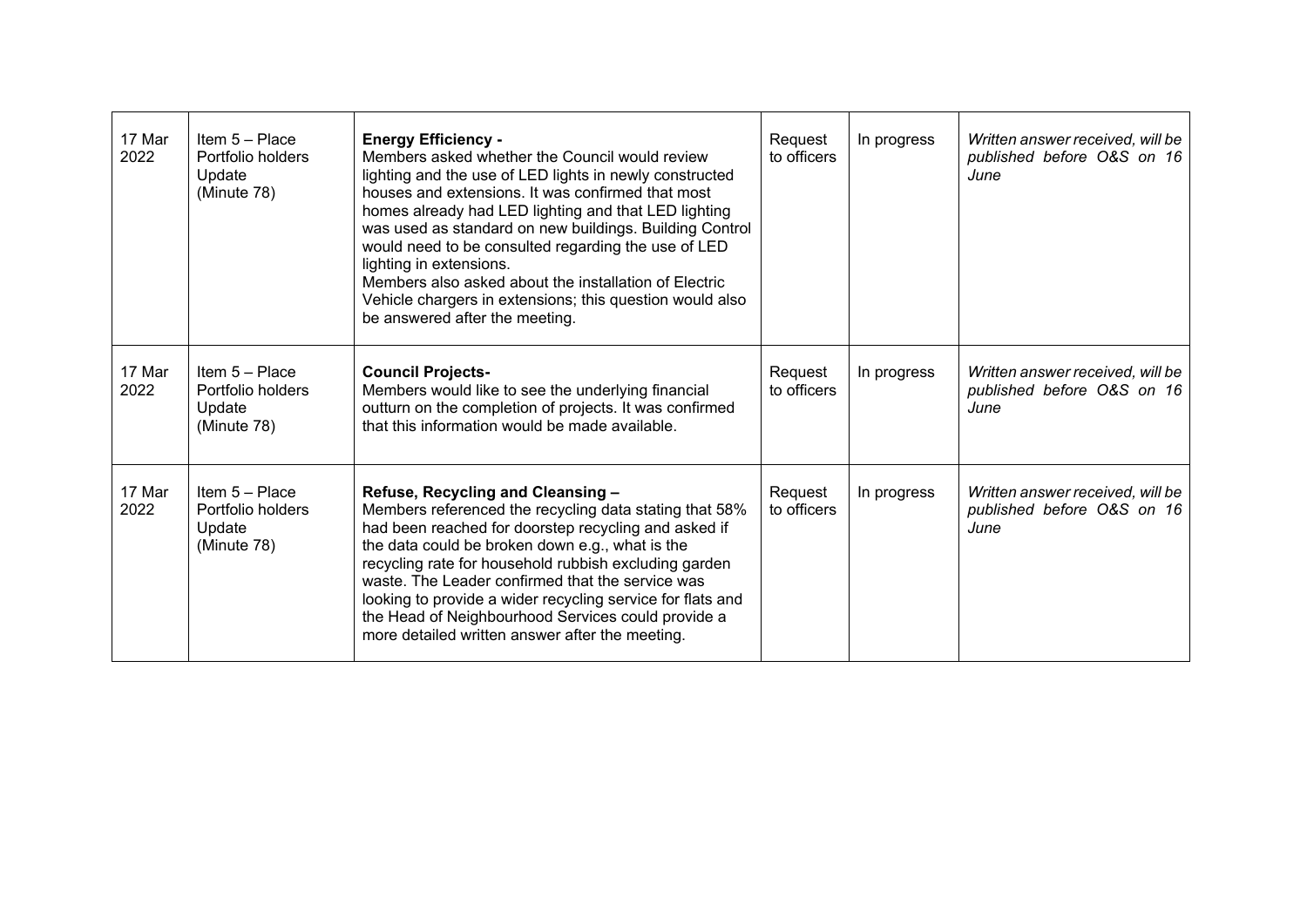| 17 Mar<br>2022 | Item $5 -$ Place<br>Portfolio holders<br>Update<br>(Minute 78) | <b>Energy Efficiency -</b><br>Members asked whether the Council would review<br>lighting and the use of LED lights in newly constructed<br>houses and extensions. It was confirmed that most<br>homes already had LED lighting and that LED lighting<br>was used as standard on new buildings. Building Control<br>would need to be consulted regarding the use of LED<br>lighting in extensions.<br>Members also asked about the installation of Electric<br>Vehicle chargers in extensions; this question would also<br>be answered after the meeting. | Request<br>to officers | In progress | Written answer received, will be<br>published before O&S on 16<br>June |
|----------------|----------------------------------------------------------------|----------------------------------------------------------------------------------------------------------------------------------------------------------------------------------------------------------------------------------------------------------------------------------------------------------------------------------------------------------------------------------------------------------------------------------------------------------------------------------------------------------------------------------------------------------|------------------------|-------------|------------------------------------------------------------------------|
| 17 Mar<br>2022 | Item $5 -$ Place<br>Portfolio holders<br>Update<br>(Minute 78) | <b>Council Projects-</b><br>Members would like to see the underlying financial<br>outturn on the completion of projects. It was confirmed<br>that this information would be made available.                                                                                                                                                                                                                                                                                                                                                              | Request<br>to officers | In progress | Written answer received, will be<br>published before O&S on 16<br>June |
| 17 Mar<br>2022 | Item $5 -$ Place<br>Portfolio holders<br>Update<br>(Minute 78) | Refuse, Recycling and Cleansing -<br>Members referenced the recycling data stating that 58%<br>had been reached for doorstep recycling and asked if<br>the data could be broken down e.g., what is the<br>recycling rate for household rubbish excluding garden<br>waste. The Leader confirmed that the service was<br>looking to provide a wider recycling service for flats and<br>the Head of Neighbourhood Services could provide a<br>more detailed written answer after the meeting.                                                               | Request<br>to officers | In progress | Written answer received, will be<br>published before O&S on 16<br>June |